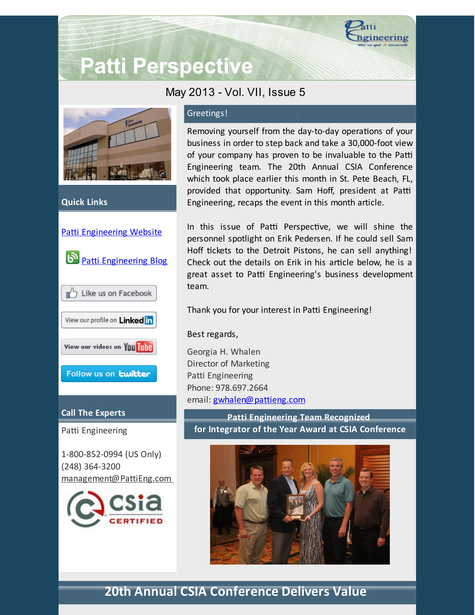

# **Patti Perspective**

### May 2013 - Vol. VII, Issue 5



**Quick Links**



#### **Call The Experts**

Patti Engineering

1-800-852-0994 (US Only) (248) 364-3200 [management@PattiEng.com](mailto:management@pattieng.com)



#### Greetings!

Removing yourself from the day-to-day operations of your business in order to step back and take a 30,000-foot view of your company has proven to be invaluable to the Patti Engineering team. The 20th Annual CSIA Conference which took place earlier this month in St. Pete Beach, FL, provided that opportunity. Sam Hoff, president at Patti Engineering, recaps the event in this month article.

In this issue of Patti Perspective, we will shine the personnel spotlight on Erik Pedersen. If he could sell Sam Hoff tickets to the Detroit Pistons, he can sell anything! Check out the details on Erik in his article below, he is a great asset to Patti Engineering's business development team.

Thank you for your interest in Patti Engineering!

#### Best regards,

Georgia H. Whalen Director of Marketing Patti Engineering Phone: 978.697.2664 email: [gwhalen@pattieng.com](mailto:gwhalen@pattieng.com)

**Patti Engineering Team Recognized for Integrator of the Year Award at CSIA Conference**



# **20th Annual CSIA Conference Delivers Value**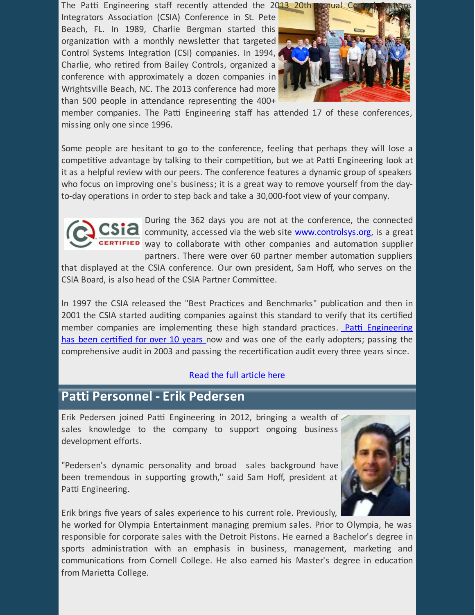The Patti Engineering staff recently attended the 2013 20th Integrators Association (CSIA) Conference in St. Pete Beach, FL. In 1989, Charlie Bergman started this organization with a monthly newsletter that targeted Control Systems Integration (CSI) companies. In 1994, Charlie, who retired from Bailey Controls, organized a conference with approximately a dozen companies in Wrightsville Beach, NC. The 2013 conference had more than 500 people in attendance representing the  $400+$ 



member companies. The Patti Engineering staff has attended 17 of these conferences, missing only one since 1996.

Some people are hesitant to go to the conference, feeling that perhaps they will lose a competitive advantage by talking to their competition, but we at Patti Engineering look at it as a helpful review with our peers. The conference features a dynamic group of speakers who focus on improving one's business; it is a great way to remove yourself from the dayto-day operations in order to step back and take a 30,000-foot view of your company.



During the 362 days you are not at the conference, the connected community, accessed via the web site **[www.controlsys.org](http://www.controlsys.org/?utm_source=Patti+Perspective+5_2013&utm_campaign=Patti+Perspective+5_13_update&utm_medium=email)**, is a great way to collaborate with other companies and automation supplier partners. There were over 60 partner member automation suppliers

that displayed at the CSIA conference. Our own president, Sam Hoff, who serves on the CSIA Board, is also head of the CSIA Partner Committee.

In 1997 the CSIA released the "Best Practices and Benchmarks" publication and then in 2001 the CSIA started auditing companies against this standard to verify that its certified member companies are implementing these high standard practices. Patti Engineering has been certified for over 10 years now and was one of the early adopters; passing the comprehensive audit in 2003 and passing the recertification audit every three years since.

#### Read the full [article](http://library.constantcontact.com/doc205/1101449641109/doc/HqxPhfW2WXhzAhnD.pdf) here

## **Patti Personnel - Erik Pedersen**

Erik Pedersen joined Patti Engineering in 2012, bringing a wealth of sales knowledge to the company to support ongoing business development efforts.

"Pedersen's dynamic personality and broad sales background have been tremendous in supporting growth," said Sam Hoff, president at Patti Engineering.



Erik brings five years of sales experience to his current role. Previously,

he worked for Olympia Entertainment managing premium sales. Prior to Olympia, he was responsible for corporate sales with the Detroit Pistons. He earned a Bachelor's degree in sports administration with an emphasis in business, management, marketing and communications from Cornell College. He also earned his Master's degree in education from Marietta College.